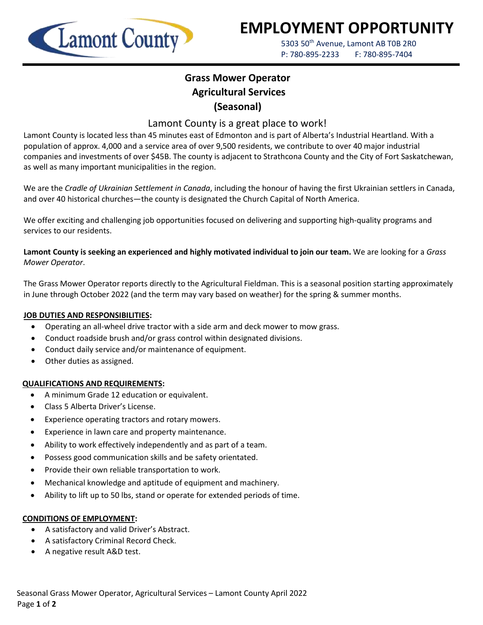

# **EMPLOYMENT OPPORTUNITY**

5303 50<sup>th</sup> Avenue, Lamont AB T0B 2R0 P: 780-895-2233 F: 780-895-7404

## **Grass Mower Operator Agricultural Services (Seasonal)**

### Lamont County is a great place to work!

Lamont County is located less than 45 minutes east of Edmonton and is part of Alberta's Industrial Heartland. With a population of approx. 4,000 and a service area of over 9,500 residents, we contribute to over 40 major industrial companies and investments of over \$45B. The county is adjacent to Strathcona County and the City of Fort Saskatchewan, as well as many important municipalities in the region.

We are the *Cradle of Ukrainian Settlement in Canada*, including the honour of having the first Ukrainian settlers in Canada, and over 40 historical churches—the county is designated the Church Capital of North America.

We offer exciting and challenging job opportunities focused on delivering and supporting high-quality programs and services to our residents.

**Lamont County is seeking an experienced and highly motivated individual to join our team.** We are looking for a *Grass Mower Operator*.

The Grass Mower Operator reports directly to the Agricultural Fieldman. This is a seasonal position starting approximately in June through October 2022 (and the term may vary based on weather) for the spring & summer months.

#### **JOB DUTIES AND RESPONSIBILITIES:**

- Operating an all-wheel drive tractor with a side arm and deck mower to mow grass.
- Conduct roadside brush and/or grass control within designated divisions.
- Conduct daily service and/or maintenance of equipment.
- Other duties as assigned.

#### **QUALIFICATIONS AND REQUIREMENTS:**

- A minimum Grade 12 education or equivalent.
- Class 5 Alberta Driver's License.
- Experience operating tractors and rotary mowers.
- Experience in lawn care and property maintenance.
- Ability to work effectively independently and as part of a team.
- Possess good communication skills and be safety orientated.
- Provide their own reliable transportation to work.
- Mechanical knowledge and aptitude of equipment and machinery.
- Ability to lift up to 50 lbs, stand or operate for extended periods of time.

#### **CONDITIONS OF EMPLOYMENT:**

- A satisfactory and valid Driver's Abstract.
- A satisfactory Criminal Record Check.
- A negative result A&D test.